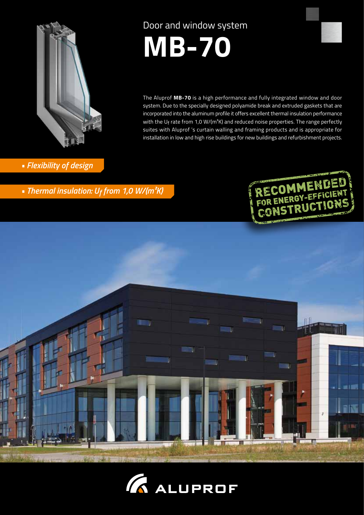

Door and window system



The Aluprof **MB-70** is a high performance and fully integrated window and door system. Due to the specially designed polyamide break and extruded gaskets that are incorporated into the aluminum profile it offers excellent thermal insulation performance with the  $U_f$  rate from 1,0 W/(m<sup>2</sup>K) and reduced noise properties. The range perfectly suites with Aluprof 's curtain walling and framing products and is appropriate for installation in low and high rise buildings for new buildings and refurbishment projects.

### *• Flexibility of design*

*• Thermal insulation: Uf from 1,0 W/(m²K)*





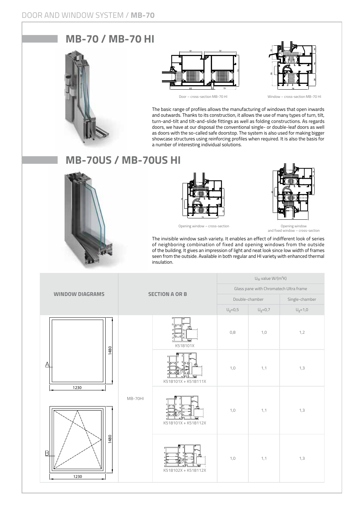## **MB-70 / MB-70 HI**







Door – cross-section MB-70 HI Window – cross-section MB-70 HI

The basic range of profiles allows the manufacturing of windows that open inwards and outwards. Thanks to its construction, it allows the use of many types of turn, tilt, turn-and-tilt and tilt-and-slide fittings as well as folding constructions. As regards doors, we have at our disposal the conventional single- or double-leaf doors as well as doors with the so-called safe doorstop. The system is also used for making bigger showcase structures using reinforcing profiles when required. It is also the basis for a number of interesting individual solutions.

## **MB-70US / MB-70US HI**





Opening window – cross-section



and fixed window – cross-section

The invisible window sash variety. It enables an effect of indifferent look of series of neighboring combination of fixed and opening windows from the outside of the building. It gives an impression of light and neat look since low width of frames seen from the outside. Available in both regular and HI variety with enhanced thermal insulation.

|                                        | <b>SECTION A OR B</b> |                     | $U_W$ value $W/(m^2K)$                  |             |                                                          |  |
|----------------------------------------|-----------------------|---------------------|-----------------------------------------|-------------|----------------------------------------------------------|--|
| <b>WINDOW DIAGRAMS</b>                 |                       |                     | Glass pane with Chromatech Ultra frame  |             |                                                          |  |
|                                        |                       |                     | Double-chamber                          |             | Single-chamber                                           |  |
|                                        |                       |                     | $\mathsf{U}_{\mathrm{g}}\!\!=\!\!0,\!5$ | $U_g = 0,7$ | $\mathsf{U}_{\mathrm{g}}\mathsf{=}\mathsf{1},\mathsf{0}$ |  |
|                                        |                       | K518101X            | 0,8                                     | 1,0         | 1,2                                                      |  |
| 1480<br>$\triangle$                    |                       | K518101X + K518111X | 1,0                                     | 1,1         | 1,3                                                      |  |
| 1230<br>1480<br>$\overline{B}$<br>1230 | MB-70HI               | K518101X + K518112X | 1,0                                     | 1,1         | 1,3                                                      |  |
|                                        |                       | K518102X + K518112X | 1,0                                     | 1,1         | 1,3                                                      |  |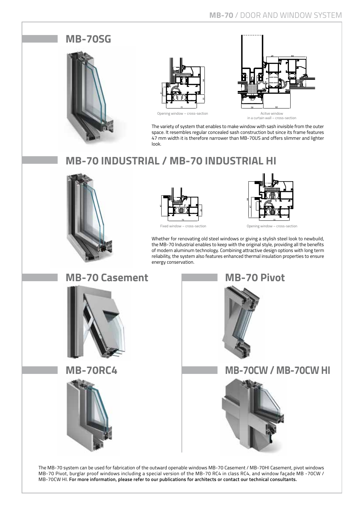# **MB-70SG** Opening window – cross-section and a section and acity Acitye window in a curtain wall – cross-section

The variety of system that enables to make window with sash invisible from the outer space. It resembles regular concealed sash construction but since its frame features 47 mm width it is therefore narrower than MB-70US and offers slimmer and lighter look.

# **MB-70 INDUSTRIAL / MB-70 INDUSTRIAL HI**







Fixed window – cross-section Opening window – cross-section

Whether for renovating old steel windows or giving a stylish steel look to newbuild, the MB-70 Industrial enables to keep with the original style, providing all the benefits of modern aluminum technology. Combining attractive design options with long term reliability, the system also features enhanced thermal insulation properties to ensure energy conservation.



The MB-70 system can be used for fabrication of the outward openable windows MB-70 Casement / MB-70HI Casement, pivot windows MB-70 Pivot, burglar proof windows including a special version of the MB-70 RC4 in class RC4, and window façade MB -70CW / MB-70CW HI. **For more information, please refer to our publications for architects or contact our technical consultants.**